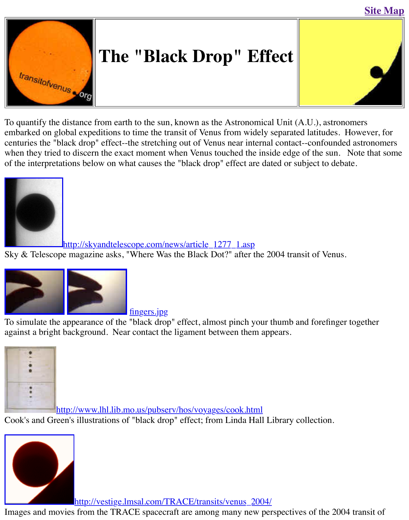

[To quantify the distance](http://old.transitofvenus.org/index.htm) from earth to the sun, known as the Astronomical Unit  $(A.U.)$ , astronomers embarked on global expeditions to time the transit of Venus from widely separated latitudes. I centuries the "black drop" effect--the stretching out of Venus near internal contact--confounded when they tried to discern the exact moment when Venus touched the inside edge of the sun. of the interpretations below on what causes the "black drop" effect are dated or subject to deba



<u>http://skyandtelescope.com/news/article\_1277\_1.asp</u>

[Sky & Telescope magazine asks, "Where Was the Black Dot?" after t](http://skyandtelescope.com/news/article_1277_1.asp)he 2004 transit of Venus.



fingers.jpg

To simulate the appearance of the "black drop" effect, almost pinch your thumb and forefinger against a bright background. Near contact the ligament between them appears.



http://www.lhl.lib.mo.us/pubserv/hos/voyages/cook.html

[Cook's and Green's illustrations of "black drop" effect; from Linda Hall](http://www.lhl.lib.mo.us/pubserv/hos/voyages/cook.html) Library collection.



http://vestige.lmsal.com/TRACE/transits/venus\_2004/

[Images and movies from the TRACE spacecraft are among many new per](http://vestige.lmsal.com/TRACE/transits/venus_2004/)spectives of the 2004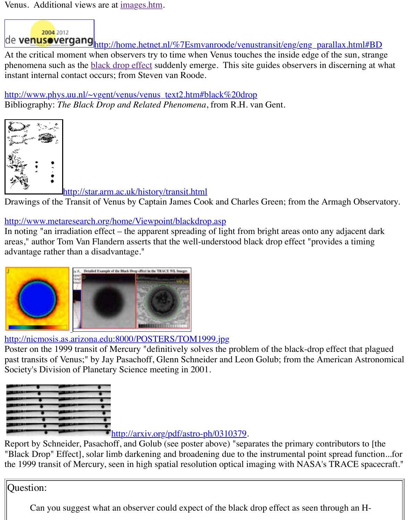instant internal contact occurs; [from Steven](http://old.transitofvenus.org/images.htm) van Roode.

[http://www.phys.uu.nl/~vgent/venus/venus\\_text2.htm#black%20drop](http://home.hetnet.nl/~smvanroode/venustransit/eng/eng_parallax.html#BD) Bibliography: *The Black Drop and Related Phenomena*, from R.H. van Gent.



http://star.arm.ac.uk/history/transit.html

Drawings of the Transit of Venus by Captain James Cook and Charles Green; from the Armagh

http://www.metaresearch.org/home/Viewpoint/blackdrop.asp

In noting "an irradiation effect – the apparent spreading of light from bright areas onto any adj areas," author Tom Van Flandern asserts that the well-understood black drop effect "provides a advantage rather than a disadvantage."



http://nicmosis.as.arizona.edu:8000/POSTERS/TOM1999.jpg

[Poster on the 1999](http://nicmosis.as.arizona.edu:8000/POSTERS/TOM1999.jpg) transit of Mercury "definitively solves the problem of the black-drop effect past transits of Venus;" by Jay Pasachoff, Glenn Schneider and Leon Golub; from the America Society's Division of Planetary Science meeting in 2001.



http://arxiv.org/pdf/astro-ph/0310379.

Report by Schneider, Pasachoff, and Golub (see poster above) "separates the primary contributors "Black Drop" Effect], solar limb darkening and broadening due to the instrumental point sprea the 1999 transit of Mercury, seen in high spatial resolution optical imaging with NASA's TRA

Question:

Can you suggest what [an observer could expect of the black](http://arxiv.org/pdf/astro-ph/0310379) drop effect as seen through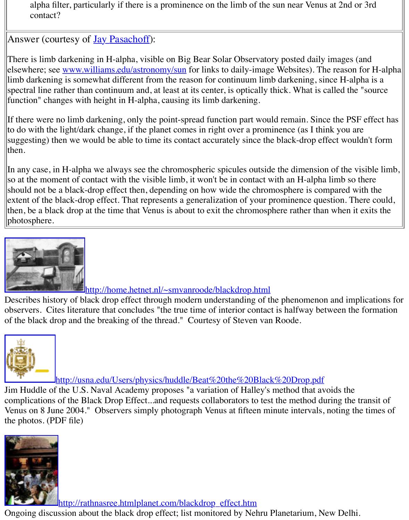elsewhere; see <u>www.williams.edu/astronomy/sun</u> for links to dairy-image Websites). The reas limb darkening is somewhat different from the reason for continuum limb darkening, since Hspectral line rather than continuum and, at least at its center, is optically thick. What is called function" changes with [height in H-alph](http://www.williams.edu/astronomy/eclipse/transitVenus.htm)a, causing its limb darkening.

If there were no limb darkening, only the point-spread function part would remain. Since the P to do with the light/dark change, if the planet comes in right over a prominence (as I think you suggesting) th[en we would be able to time its con](http://www.williams.edu/astronomy/sun)tact accurately since the black-drop effect w then.

In any case, in H-alpha we always see the chromospheric spicules outside the dimension of the so at the moment of contact with the visible limb, it won't be in contact with an H-alpha limb should not be a black-drop effect then, depending on how wide the chromosphere is compared extent of the black-drop effect. That represents a generalization of your prominence question. then, be a black drop at the time that Venus is about to exit the chromosphere rather than when photosphere.



http://home.hetnet.nl/~smvanroode/blackdrop.html

Describes history of black drop effect through modern understanding of the phenomenon and implement observers. Cites literature that concludes "the true time of interior contact is halfway between [of the black drop and the breaking of the thread." Courtesy of Steven van](http://home.hetnet.nl/~smvanroode/blackdrop.html) Roode.



http://usna.edu/Users/physics/huddle/Beat%20the%20Black%20Drop.pdf

Jim Huddle of the U.S. Naval Academy proposes "a variation of Halley's method that avoids the complications of the Black Drop Effect...and requests collaborators to test the method during t [Venus on 8 June 2004." Observers simply photograph Venus at fifteen minute intervals,](http://usna.edu/Users/physics/huddle/Beat%20the%20Black%20Drop.pdf) noting the photos. (PDF file)



**http://rathnasree.htmlplanet.com/blackdrop\_effect.htm** 

[Ongoing discus](http://rathnasree.htmlplanet.com/blackdrop_effect.htm)sion about the black drop effect; list monitored by Nehru Planetarium, New De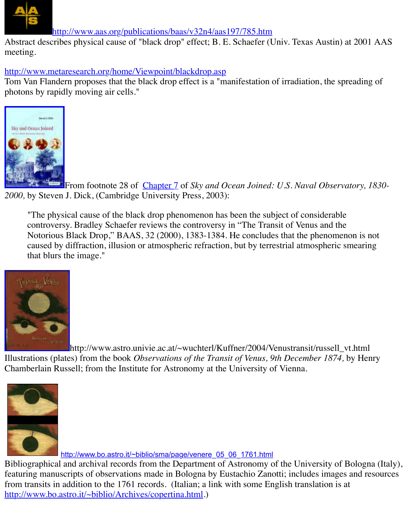http://www.metaresearch.org/home/Viewpoint/blackdrop.asp

Tom Van Flandern proposes that the black drop effect is a "manifestation of irradiation, the spi photons by rapidly moving air cells."



From footnote 28 of Chapter 7 of *Sky and Ocean Joined: U.S. Naval Observa 2000,* [by Steven](http://images.amazon.com/images/P/0521815991.01.LZZZZZZZ.jpg) J. Dick, (Cambridge University Press, 2003):

"The physical cause of the black drop phenomenon has been the subject of considerable controversy. Bradley Schaefer reviews the controversy in "The Transit of Venus and the Notorious Black Drop," BAAS, 32 (2000), 1383-1384. He concludes that the phenomen caused by diffraction, illusion or atmospheric refraction, but by terrestrial atmospheric s that blurs the image."



http://www.astro.univie.ac.at/~wuchterl/Kuffner/2004/Venustransit/russell\_v [Illustrations \(plate](http://www.astro.univie.ac.at/~wuchterl/Kuffner/2004/Venustransit/VENUS_Transit1874/russell_vt_1874.jpg)s) from the book *Observations of the Transit of Venus*, 9th December 1874, by Chamberlain Russell; from the Institute for Astronomy at the University of Vienna.





http://www.bo.astro.it/~biblio/sma/page/venere\_05\_06\_1761.html

Bibliographical and archival records from the Department of Astronomy of the University of I featuring manuscripts of observations made in Bologna by Eustachio Zanotti; includes images from transits in addition to the 1761 records. (Italian; a link with some English translation is a http://www.bo.astro.it/~biblio/Archives/copertina.html.)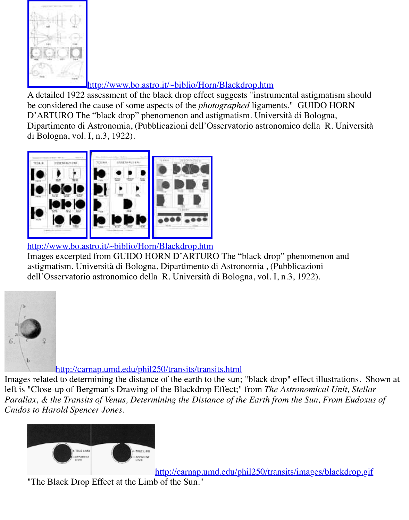

## http://www.bo.astro.it/~biblio/Horn/Blackdrop.htm

[A detailed 1922 assessment of the black drop effect suggests "instru](http://www.bo.astro.it/~biblio/Horn/Blackdrop.htm)mental astigmatism" be considered the cause of some aspects of the *photographed* ligaments." GUIDO HOR D'ARTURO The "black drop" phenomenon and astigmatism. Università di Bologna, Dipartimento di Astronomia, (Pubblicazioni dell'Osservatorio astronomico della R. Uni di Bologna, vol. I, n.3, 1922).



## [http://www.bo.astro.it/~biblio/Hor](http://www.bo.astro.it/~biblio/Horn/Blackdrop.htm)n/Blackdrop.htm

[Images excerpted from GUIDO HORN D'ARTURO](http://www.bo.astro.it/~biblio/Horn/Blackdrop.htm) The "black drop" phenomenon and astigmatism. Università di Bologna, Dipartimento di Astronomia , (Pubblicazioni dell'Osservatorio astronomico della R. Università di Bologna, vol. I, n.3, 1922).



## http://carnap.umd.edu/phil250/transits/transits.html

[Images related to determining the distance of the earth to the sun;](http://carnap.umd.edu/phil250/transits/transits.html) "black drop" effect illustrations. left is "Close-up of Bergman's Drawing of the Blackdrop Effect;" from *The Astronomical Unit Parallax, & the Transits of Venus, Determining the Distance of the Earth from the Sun, From 1 Cnidos to Harold Spencer Jones*.



http://carnap.umd.edu/phil250/transits/images/blackdronp.

"The Black Drop Effect at the Limb of the Sun."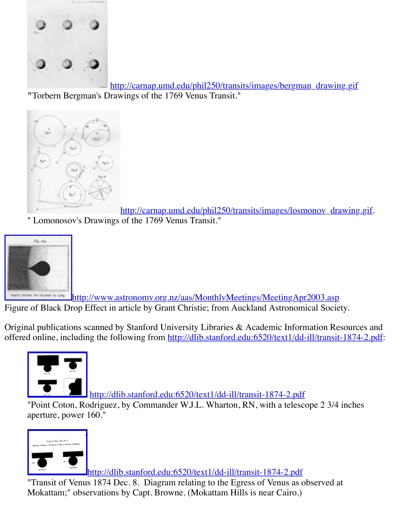

http://carnap.umd.edu/phil250/transits/images/bergman\_drawing. **"**[Torbern Bergman's D](http://carnap.umd.edu/phil250/transits/images/bergman_drawing.gif)rawings of the 1769 Venus Transit."



http://carnap.umd.edu/phil250/transits/images/losmonov\_draw [" Lomonosov's Drawings](http://carnap.umd.edu/phil250/transits/transits.html) of the 1769 Venus Transit."



uses penns me raisan in 1769. http://www.astronomy.org.nz/aas/MonthlyMeetings/MeetingApr2003.asp Figure of Black Drop Effect in article by Grant Christie; from Auckland Astronomical Society.

Original publications scanned by Stanford University Libraries  $\&$  Academic Information Reso offered online, including the following from http://dlib.stanford.edu:6520/text1/dd-ill/transit-1



http://dlib.stanford.edu:6520/text1/dd-ill/transit-1874-2.pdf

"Point Coton, Rodriguez, by Commander W.J.L. Wharton, RN, with a telescope 2 3/4 in aperture, power 160."



<http://dlib.stanford.edu:6520/text1/dd-ill/transit-1874-2.pdf>

"Transit of Venus 1874 Dec. 8. Diagram relating to the Egress of Venus as observed at Mokattam;" observations by Capt. Browne. (Mokattam Hills is near Cairo.)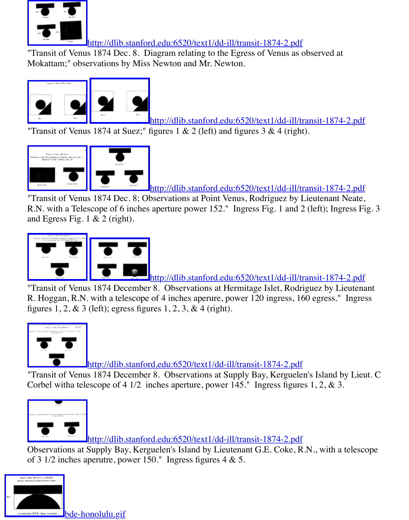

<u>[http://dlib.stanford.edu:6520/text1/dd-ill/tr](http://dlib.stanford.edu:6520/text1/dd-ill/transit-1874-2.pdf)ansit-1874-2</u>

"Transit of Venus 1874 at Suez;" figures  $1 \& 2$  (left) and figures  $3 \& 4$  (right).



http://dlib.stanford.edu:6520/text1/dd-ill/transit-1874-2

["Transit of Venu](http://old.transitofvenus.org/bde-suez1&2.gif)[s 1874 Dec. 8; Ob](http://old.transitofvenus.org/bde-suez3&4.gif)servations at Point Venus, Rodriguez by Lieutenant N R.N. with a Telescope of 6 inches aperture power 152." Ingress Fig. 1 and 2 (left); Ingress [and Egress Fig. 1](http://old.transitofvenus.org/bde-neat1&2.gif) [& 2 \(right\).](http://old.transitofvenus.org/bde-neate3,1,2.gif)



http://dlib.stanford.edu:6520/text1/dd-ill/transit-1874-2.

"Transit of Venus 1874 December 8. Observations at Hermitage Islet, Rodriguez by Lie R. Hoggan, R.N. with a telescope of 4 inches aperure, power 120 ingress, 160 egress." figures  $1, 2, \& 3$  [\(left\); egress figu](http://old.transitofvenus.org/bde-Hoggan1-4.gif)res  $1, 2, 3, \& 4$  (right).



http://dlib.stanford.edu:6520/text1/dd-ill/transit-1874-2.pdf

"Transit of Venus 1874 December 8. Observations at Supply Bay, Kerguelen's Island by Corbel witha telescope of 4 1/2 inches aperture, power 145." Ingress figures 1, 2, & 3.



<http://dlib.stanford.edu:6520/text1/dd-ill/transit-1874-2.pdf>

Observations at Supply Bay, Kerguelen's Island by Lieutenant G.E. Coke, R.N., with a to of 3 1/2 inches aperutre, power 150." Ingress figures 4 & 5.

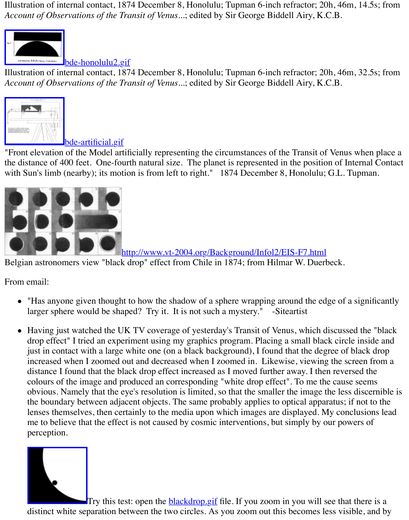Illustration of internal contact, 1874 December 8, Honolulu; Tupman 6-inch refractor; 20h, 46. *Account of Observations of the Transit of Venus...*; edited by Sir George Biddell Airy, K.C.B.



bde-artificial.gif

"Front elevation of the Model artificially representing the circumstances of the Transit of Venus the distance of 400 feet. One-fourth natural size. The planet is represented in the position of I [with Sun's limb \(nearby\); its mot](http://old.transitofvenus.org/bde-artificial.gif)ion is from left to right." 1874 December 8, Honolulu; G.L.



http://www.vt-2004.org/Background/Infol2/EIS-F7.html

[Belgian astronomers view "black drop" effect from Chile in 1874; from Hilmar W. Duerb](http://www.vt-2004.org/Background/Infol2/EIS-F7.html)eck.

From email:

- $\bullet$  "Has anyone given thought to how the shadow of a sphere wrapping around the edge of larger sphere would be shaped? Try it. It is not such a mystery." -Siteartist
- Having just watched the UK TV coverage of yesterday's Transit of Venus, which discuss drop effect" I tried an experiment using my graphics program. Placing a small black circ just in contact with a large white one (on a black background), I found that the degree of increased when I zoomed out and decreased when I zoomed in. Likewise, viewing the s distance I found that the black drop effect increased as I moved further away. I then reve colours of the image and produced an corresponding "white drop effect". To me the cause obvious. Namely that the eye's resolution is limited, so that the smaller the image the les the boundary between adjacent objects. The same probably applies to optical apparatus; lenses themselves, then certainly to the media upon which images are displayed. My conclusions leads me to believe that the effect is not caused by cosmic interventions, but simply by our po perception.



Try this test: open the **blackdrop.gif** file. If you zoom in you will see that distinct white separation between the two circles. As you zoom out this becomes less vis